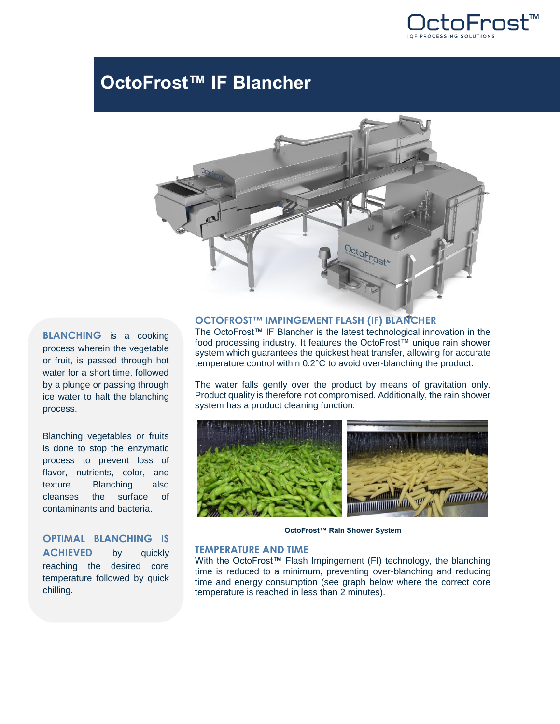

# **OctoFrost™ IF Blancher**



**BLANCHING** is a cooking process wherein the vegetable or fruit, is passed through hot water for a short time, followed by a plunge or passing through ice water to halt the blanching process.

Blanching vegetables or fruits is done to stop the enzymatic process to prevent loss of flavor, nutrients, color, and texture. Blanching also cleanses the surface of contaminants and bacteria.

# **OPTIMAL BLANCHING IS ACHIEVED** by quickly

reaching the desired core temperature followed by quick chilling.

#### **OCTOFROST™ IMPINGEMENT FLASH (IF) BLANCHER**

The OctoFrost™ IF Blancher is the latest technological innovation in the food processing industry. It features the OctoFrost™ unique rain shower system which guarantees the quickest heat transfer, allowing for accurate temperature control within 0.2°C to avoid over-blanching the product.

The water falls gently over the product by means of gravitation only. Product quality is therefore not compromised. Additionally, the rain shower system has a product cleaning function.



**OctoFrost™ Rain Shower System**

## **TEMPERATURE AND TIME**

With the OctoFrost™ Flash Impingement (FI) technology, the blanching time is reduced to a minimum, preventing over-blanching and reducing time and energy consumption (see graph below where the correct core temperature is reached in less than 2 minutes).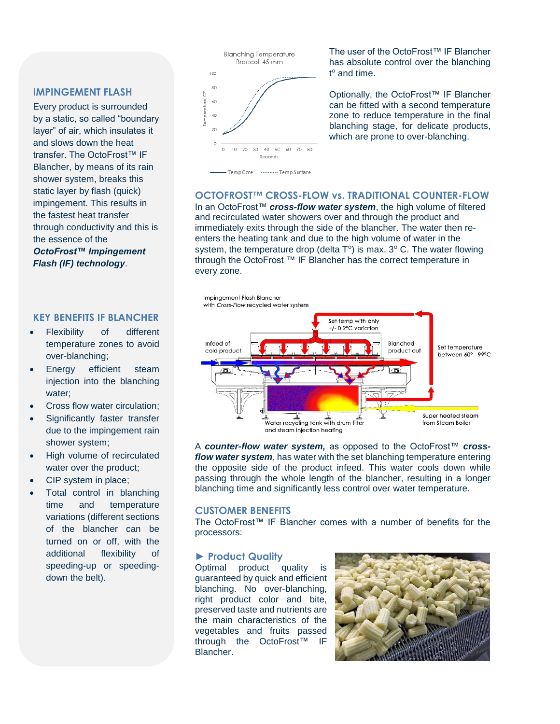### **IMPINGEMENT FLASH**

Every product is surrounded by a static, so called "boundary layer" of air, which insulates it and slows down the heat transfer. The OctoFrost™ IF Blancher, by means of its rain shower system, breaks this static layer by flash (quick) impingement. This results in the fastest heat transfer through conductivity and this is the essence of the *OctoFrost™ Impingement*

*Flash (IF) technology*.

### **KEY BENEFITS IF BLANCHER**

- Flexibility of different temperature zones to avoid over-blanching;
- Energy efficient steam injection into the blanching water;
- Cross flow water circulation;
- Significantly faster transfer due to the impingement rain shower system;
- High volume of recirculated water over the product;
- CIP system in place;
- Total control in blanching time and temperature variations (different sections of the blancher can be turned on or off, with the additional flexibility of speeding-up or speedingdown the belt).



The user of the OctoFrost™ IF Blancher has absolute control over the blanching t° and time.

Optionally, the OctoFrost™ IF Blancher can be fitted with a second temperature zone to reduce temperature in the final blanching stage, for delicate products, which are prone to over-blanching.

#### **OCTOFROST™ CROSS-FLOW vs. TRADITIONAL COUNTER-FLOW**

In an OctoFrost™ *cross-flow water system*, the high volume of filtered and recirculated water showers over and through the product and immediately exits through the side of the blancher. The water then reenters the heating tank and due to the high volume of water in the system, the temperature drop (delta  $T^{\circ}$ ) is max. 3° C. The water flowing through the OctoFrost ™ IF Blancher has the correct temperature in every zone.



A *counter-flow water system,* as opposed to the OctoFrost™ *crossflow water system*, has water with the set blanching temperature entering the opposite side of the product infeed. This water cools down while passing through the whole length of the blancher, resulting in a longer blanching time and significantly less control over water temperature.

#### **CUSTOMER BENEFITS**

The OctoFrost™ IF Blancher comes with a number of benefits for the processors:

#### **► Product Quality**

Optimal product quality is guaranteed by quick and efficient blanching. No over-blanching, right product color and bite, preserved taste and nutrients are the main characteristics of the vegetables and fruits passed through the OctoFrost™ IF Blancher.